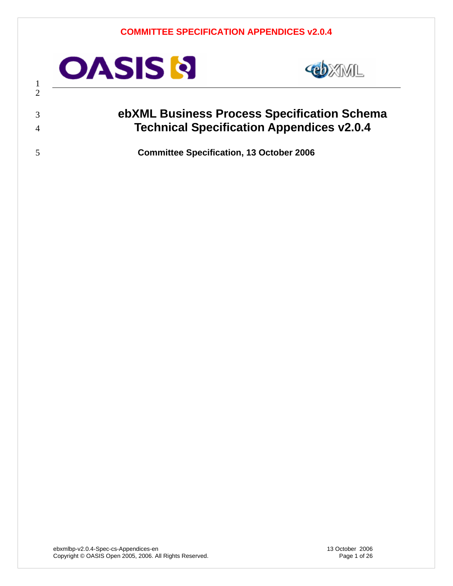<span id="page-0-0"></span>

 



## **ebXML Business Process Specification Schema Technical Specification Appendices v2.0.4**

**Committee Specification, 13 October 2006**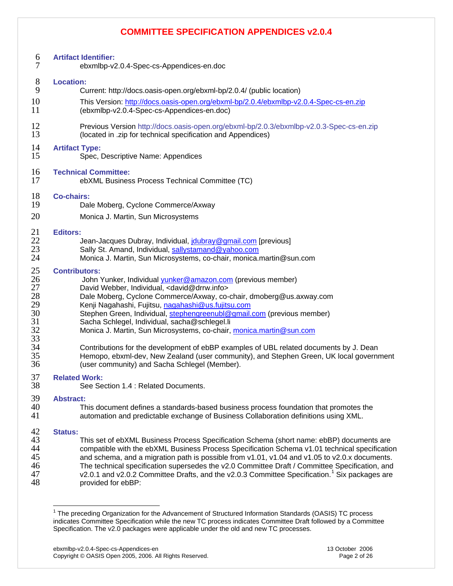| $\frac{6}{7}$                                                        | <b>Artifact Identifier:</b><br>ebxmlbp-v2.0.4-Spec-cs-Appendices-en.doc                                                                                                                                                                                                                                                                                                                                                                                                                                                                                                                                                                                                                                                                  |
|----------------------------------------------------------------------|------------------------------------------------------------------------------------------------------------------------------------------------------------------------------------------------------------------------------------------------------------------------------------------------------------------------------------------------------------------------------------------------------------------------------------------------------------------------------------------------------------------------------------------------------------------------------------------------------------------------------------------------------------------------------------------------------------------------------------------|
| $8\phantom{1}$                                                       | <b>Location:</b>                                                                                                                                                                                                                                                                                                                                                                                                                                                                                                                                                                                                                                                                                                                         |
| 9                                                                    | Current: http://docs.oasis-open.org/ebxml-bp/2.0.4/ (public location)                                                                                                                                                                                                                                                                                                                                                                                                                                                                                                                                                                                                                                                                    |
| 10                                                                   | This Version: http://docs.oasis-open.org/ebxml-bp/2.0.4/ebxmlbp-v2.0.4-Spec-cs-en.zip                                                                                                                                                                                                                                                                                                                                                                                                                                                                                                                                                                                                                                                    |
| 11                                                                   | (ebxmlbp-v2.0.4-Spec-cs-Appendices-en.doc)                                                                                                                                                                                                                                                                                                                                                                                                                                                                                                                                                                                                                                                                                               |
| 12                                                                   | Previous Version http://docs.oasis-open.org/ebxml-bp/2.0.3/ebxmlbp-v2.0.3-Spec-cs-en.zip                                                                                                                                                                                                                                                                                                                                                                                                                                                                                                                                                                                                                                                 |
| 13                                                                   | (located in .zip for technical specification and Appendices)                                                                                                                                                                                                                                                                                                                                                                                                                                                                                                                                                                                                                                                                             |
| 14                                                                   | <b>Artifact Type:</b>                                                                                                                                                                                                                                                                                                                                                                                                                                                                                                                                                                                                                                                                                                                    |
| 15                                                                   | Spec, Descriptive Name: Appendices                                                                                                                                                                                                                                                                                                                                                                                                                                                                                                                                                                                                                                                                                                       |
| 16                                                                   | <b>Technical Committee:</b>                                                                                                                                                                                                                                                                                                                                                                                                                                                                                                                                                                                                                                                                                                              |
| 17                                                                   | ebXML Business Process Technical Committee (TC)                                                                                                                                                                                                                                                                                                                                                                                                                                                                                                                                                                                                                                                                                          |
| 18                                                                   | <b>Co-chairs:</b>                                                                                                                                                                                                                                                                                                                                                                                                                                                                                                                                                                                                                                                                                                                        |
| 19                                                                   | Dale Moberg, Cyclone Commerce/Axway                                                                                                                                                                                                                                                                                                                                                                                                                                                                                                                                                                                                                                                                                                      |
| 20                                                                   | Monica J. Martin, Sun Microsystems                                                                                                                                                                                                                                                                                                                                                                                                                                                                                                                                                                                                                                                                                                       |
| 21                                                                   | <b>Editors:</b>                                                                                                                                                                                                                                                                                                                                                                                                                                                                                                                                                                                                                                                                                                                          |
| 22                                                                   | Jean-Jacques Dubray, Individual, joubray@gmail.com [previous]                                                                                                                                                                                                                                                                                                                                                                                                                                                                                                                                                                                                                                                                            |
| 23                                                                   | Sally St. Amand, Individual, sallystamand@yahoo.com                                                                                                                                                                                                                                                                                                                                                                                                                                                                                                                                                                                                                                                                                      |
| 24                                                                   | Monica J. Martin, Sun Microsystems, co-chair, monica.martin@sun.com                                                                                                                                                                                                                                                                                                                                                                                                                                                                                                                                                                                                                                                                      |
| 25<br>26<br>27<br>28<br>29<br>30<br>31<br>32<br>33<br>34<br>35<br>36 | <b>Contributors:</b><br>John Yunker, Individual <i>yunker@amazon.com</i> (previous member)<br>David Webber, Individual, <david@drrw.info><br/>Dale Moberg, Cyclone Commerce/Axway, co-chair, dmoberg@us.axway.com<br/>Kenji Nagahashi, Fujitsu, nagahashi@us.fujitsu.com<br/>Stephen Green, Individual, stephengreenubl@gmail.com (previous member)<br/>Sacha Schlegel, Individual, sacha@schlegel.li<br/>Monica J. Martin, Sun Microsystems, co-chair, monica.martin@sun.com<br/>Contributions for the development of ebBP examples of UBL related documents by J. Dean<br/>Hemopo, ebxml-dev, New Zealand (user community), and Stephen Green, UK local government<br/>(user community) and Sacha Schlegel (Member).</david@drrw.info> |
| 37                                                                   | <b>Related Work:</b>                                                                                                                                                                                                                                                                                                                                                                                                                                                                                                                                                                                                                                                                                                                     |
| 38                                                                   | See Section 1.4 : Related Documents.                                                                                                                                                                                                                                                                                                                                                                                                                                                                                                                                                                                                                                                                                                     |
| 39                                                                   | <b>Abstract:</b>                                                                                                                                                                                                                                                                                                                                                                                                                                                                                                                                                                                                                                                                                                                         |
| 40                                                                   | This document defines a standards-based business process foundation that promotes the                                                                                                                                                                                                                                                                                                                                                                                                                                                                                                                                                                                                                                                    |
| 41                                                                   | automation and predictable exchange of Business Collaboration definitions using XML.                                                                                                                                                                                                                                                                                                                                                                                                                                                                                                                                                                                                                                                     |
| 42                                                                   | <b>Status:</b>                                                                                                                                                                                                                                                                                                                                                                                                                                                                                                                                                                                                                                                                                                                           |
| 43                                                                   | This set of ebXML Business Process Specification Schema (short name: ebBP) documents are                                                                                                                                                                                                                                                                                                                                                                                                                                                                                                                                                                                                                                                 |
| 44                                                                   | compatible with the ebXML Business Process Specification Schema v1.01 technical specification                                                                                                                                                                                                                                                                                                                                                                                                                                                                                                                                                                                                                                            |
| 45                                                                   | and schema, and a migration path is possible from v1.01, v1.04 and v1.05 to v2.0.x documents.                                                                                                                                                                                                                                                                                                                                                                                                                                                                                                                                                                                                                                            |
| 46                                                                   | The technical specification supersedes the v2.0 Committee Draft / Committee Specification, and                                                                                                                                                                                                                                                                                                                                                                                                                                                                                                                                                                                                                                           |
| 47                                                                   | v2.0.1 and v2.0.2 Committee Drafts, and the v2.0.3 Committee Specification. <sup>1</sup> Six packages are                                                                                                                                                                                                                                                                                                                                                                                                                                                                                                                                                                                                                                |
| 48                                                                   | provided for ebBP:                                                                                                                                                                                                                                                                                                                                                                                                                                                                                                                                                                                                                                                                                                                       |

<span id="page-1-0"></span> 1 The preceding Organization for the Advancement of Structured Information Standards (OASIS) TC process indicates Committee Specification while the new TC process indicates Committee Draft followed by a Committee Specification. The v2.0 packages were applicable under the old and new TC processes.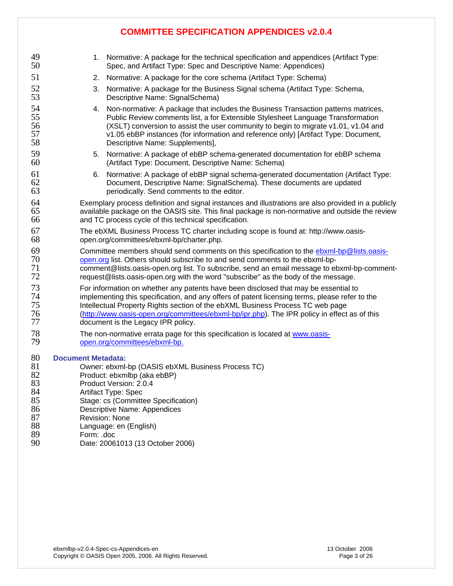| 49<br>50                                                       |                                                                                                                                                                                                                                                                                                                                                                                                               | 1. Normative: A package for the technical specification and appendices (Artifact Type:<br>Spec, and Artifact Type: Spec and Descriptive Name: Appendices)                                                                                                                                                                                                                               |  |
|----------------------------------------------------------------|---------------------------------------------------------------------------------------------------------------------------------------------------------------------------------------------------------------------------------------------------------------------------------------------------------------------------------------------------------------------------------------------------------------|-----------------------------------------------------------------------------------------------------------------------------------------------------------------------------------------------------------------------------------------------------------------------------------------------------------------------------------------------------------------------------------------|--|
| 51                                                             | 2.                                                                                                                                                                                                                                                                                                                                                                                                            | Normative: A package for the core schema (Artifact Type: Schema)                                                                                                                                                                                                                                                                                                                        |  |
| 52<br>53                                                       | 3.                                                                                                                                                                                                                                                                                                                                                                                                            | Normative: A package for the Business Signal schema (Artifact Type: Schema,<br>Descriptive Name: SignalSchema)                                                                                                                                                                                                                                                                          |  |
| 54<br>55<br>56<br>57<br>58                                     | 4.                                                                                                                                                                                                                                                                                                                                                                                                            | Non-normative: A package that includes the Business Transaction patterns matrices,<br>Public Review comments list, a for Extensible Stylesheet Language Transformation<br>(XSLT) conversion to assist the user community to begin to migrate v1.01, v1.04 and<br>v1.05 ebBP instances (for information and reference only) [Artifact Type: Document,<br>Descriptive Name: Supplements], |  |
| 59<br>60                                                       | 5.                                                                                                                                                                                                                                                                                                                                                                                                            | Normative: A package of ebBP schema-generated documentation for ebBP schema<br>(Artifact Type: Document, Descriptive Name: Schema)                                                                                                                                                                                                                                                      |  |
| 61<br>62<br>63                                                 | 6.                                                                                                                                                                                                                                                                                                                                                                                                            | Normative: A package of ebBP signal schema-generated documentation (Artifact Type:<br>Document, Descriptive Name: SignalSchema). These documents are updated<br>periodically. Send comments to the editor.                                                                                                                                                                              |  |
| 64<br>65<br>66                                                 |                                                                                                                                                                                                                                                                                                                                                                                                               | Exemplary process definition and signal instances and illustrations are also provided in a publicly<br>available package on the OASIS site. This final package is non-normative and outside the review<br>and TC process cycle of this technical specification.                                                                                                                         |  |
| 67<br>68                                                       | The ebXML Business Process TC charter including scope is found at: http://www.oasis-<br>open.org/committees/ebxml-bp/charter.php.                                                                                                                                                                                                                                                                             |                                                                                                                                                                                                                                                                                                                                                                                         |  |
| 69<br>70<br>71<br>72                                           | Committee members should send comments on this specification to the ebxml-bp@lists.oasis-<br>open.org list. Others should subscribe to and send comments to the ebxml-bp-<br>comment@lists.oasis-open.org list. To subscribe, send an email message to ebxml-bp-comment-<br>request@lists.oasis-open.org with the word "subscribe" as the body of the message.                                                |                                                                                                                                                                                                                                                                                                                                                                                         |  |
| 73<br>74<br>75<br>76<br>77                                     | For information on whether any patents have been disclosed that may be essential to<br>implementing this specification, and any offers of patent licensing terms, please refer to the<br>Intellectual Property Rights section of the ebXML Business Process TC web page<br>(http://www.oasis-open.org/committees/ebxml-bp/ipr.php). The IPR policy in effect as of this<br>document is the Legacy IPR policy. |                                                                                                                                                                                                                                                                                                                                                                                         |  |
| 78<br>79                                                       | The non-normative errata page for this specification is located at www.oasis-<br>open.org/committees/ebxml-bp.                                                                                                                                                                                                                                                                                                |                                                                                                                                                                                                                                                                                                                                                                                         |  |
| 80<br>81<br>82<br>83<br>84<br>85<br>86<br>87<br>88<br>89<br>90 | <b>Document Metadata:</b><br>Owner: ebxml-bp (OASIS ebXML Business Process TC)<br>Product: ebxmlbp (aka ebBP)<br>Product Version: 2.0.4<br>Artifact Type: Spec<br>Stage: cs (Committee Specification)<br><b>Descriptive Name: Appendices</b><br>Revision: None<br>Language: en (English)<br>Form: .doc<br>Date: 20061013 (13 October 2006)                                                                    |                                                                                                                                                                                                                                                                                                                                                                                         |  |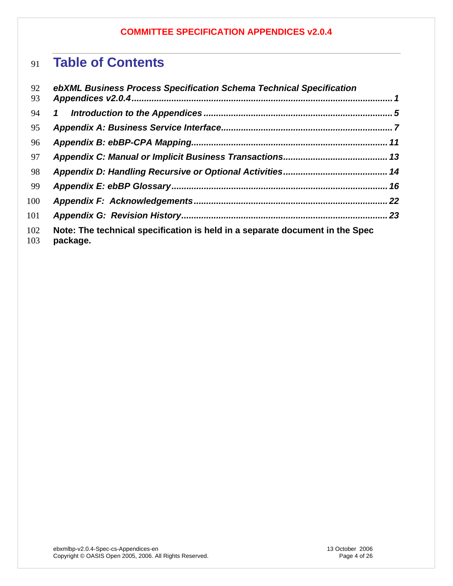# **Table of Contents**

| 92<br>93   | ebXML Business Process Specification Schema Technical Specification                      |     |
|------------|------------------------------------------------------------------------------------------|-----|
| 94         | $\mathbf{1}$                                                                             |     |
| 95         |                                                                                          |     |
| 96         |                                                                                          |     |
| 97         |                                                                                          |     |
| 98         |                                                                                          |     |
| 99         |                                                                                          |     |
| 100        |                                                                                          | .22 |
| 101        |                                                                                          |     |
| 102<br>103 | Note: The technical specification is held in a separate document in the Spec<br>package. |     |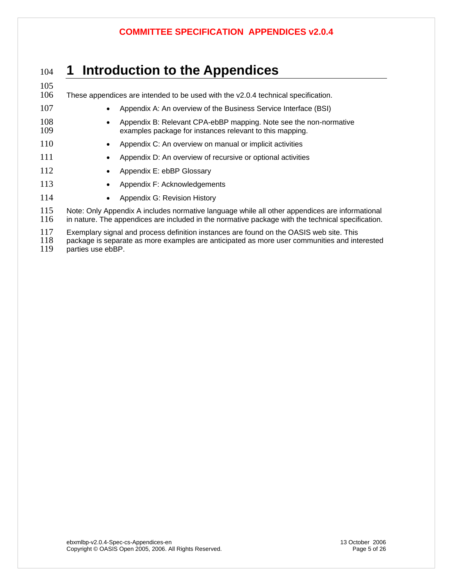## <span id="page-4-0"></span><sup>104</sup>**1 Introduction to the Appendices**

- 105<br>106 These appendices are intended to be used with the  $v2.0.4$  technical specification. 107 • Appendix A: An overview of the Business Service Interface (BSI) 108 • Appendix B: Relevant CPA-ebBP mapping. Note see the non-normative<br>109 • examples package for instances relevant to this mapping. examples package for instances relevant to this mapping.
- 110 Appendix C: An overview on manual or implicit activities
- 111 Appendix D: An overview of recursive or optional activities
- 112 Appendix E: ebBP Glossary
- 113 Appendix F: Acknowledgements
- 114 Appendix G: Revision History

115 Note: Only Appendix A includes normative language while all other appendices are informational<br>116 in nature. The appendices are included in the normative package with the technical specification. in nature. The appendices are included in the normative package with the technical specification.

117 Exemplary signal and process definition instances are found on the OASIS web site. This<br>118 package is separate as more examples are anticipated as more user communities and inte

- 118 package is separate as more examples are anticipated as more user communities and interested 119 parties use ebBP.
- parties use ebBP.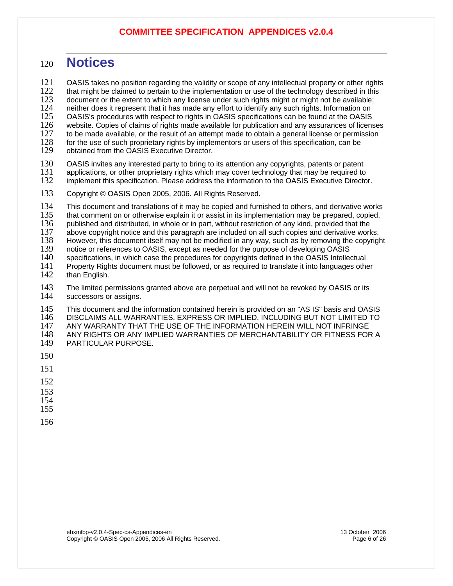## <sup>120</sup>**Notices**

121 OASIS takes no position regarding the validity or scope of any intellectual property or other rights 122 that might be claimed to pertain to the implementation or use of the technology described in this  $122$  that might be claimed to pertain to the implementation or use of the technology described in this  $123$  document or the extent to which any license under such rights might or might not be available: 123 document or the extent to which any license under such rights might or might not be available;<br>124 neither does it represent that it has made any effort to identify any such rights. Information on 124 neither does it represent that it has made any effort to identify any such rights. Information on<br>125 OASIS's procedures with respect to rights in OASIS specifications can be found at the OASIS 125 OASIS's procedures with respect to rights in OASIS specifications can be found at the OASIS 126 website. Copies of claims of rights made available for publication and any assurances of licenses<br>127 to be made available, or the result of an attempt made to obtain a general license or permission 127 to be made available, or the result of an attempt made to obtain a general license or permission<br>128 for the use of such proprietary rights by implementors or users of this specification, can be 128 for the use of such proprietary rights by implementors or users of this specification, can be 129 obtained from the OASIS Executive Director. obtained from the OASIS Executive Director. 130 OASIS invites any interested party to bring to its attention any copyrights, patents or patent 131 applications, or other proprietary rights which may cover technology that may be required to

131 applications, or other proprietary rights which may cover technology that may be required to 132 implement this specification. Please address the information to the OASIS Executive Directo implement this specification. Please address the information to the OASIS Executive Director.

133 Copyright © OASIS Open 2005, 2006. All Rights Reserved.

134 This document and translations of it may be copied and furnished to others, and derivative works<br>135 that comment on or otherwise explain it or assist in its implementation may be prepared, copied,

135 that comment on or otherwise explain it or assist in its implementation may be prepared, copied,<br>136 published and distributed, in whole or in part, without restriction of any kind, provided that the

136 published and distributed, in whole or in part, without restriction of any kind, provided that the 137 above copyright notice and this paragraph are included on all such copies and derivative work

137 above copyright notice and this paragraph are included on all such copies and derivative works.<br>138 However, this document itself may not be modified in any way, such as by removing the copyrigl

138 However, this document itself may not be modified in any way, such as by removing the copyright 139 notice or references to OASIS. except as needed for the purpose of developing OASIS

139 notice or references to OASIS, except as needed for the purpose of developing OASIS<br>140 specifications, in which case the procedures for copyrights defined in the OASIS Intelle

140 specifications, in which case the procedures for copyrights defined in the OASIS Intellectual<br>141 Property Rights document must be followed, or as required to translate it into languages othe 141 Property Rights document must be followed, or as required to translate it into languages other <br>142 than English. than English.

143 The limited permissions granted above are perpetual and will not be revoked by OASIS or its 144 successors or assigns. successors or assigns.

145 This document and the information contained herein is provided on an "AS IS" basis and OASIS<br>146 DISCLAIMS ALL WARRANTIES, EXPRESS OR IMPLIED, INCLUDING BUT NOT LIMITED TO 146 DISCLAIMS ALL WARRANTIES, EXPRESS OR IMPLIED, INCLUDING BUT NOT LIMITED TO 147 — ANY WARRANTY THAT THE USE OF THE INFORMATION HEREIN WILL NOT INFRINGE<br>148 — ANY RIGHTS OR ANY IMPLIED WARRANTIES OF MERCHANTABILITY OR FITNESS FOF 148 ANY RIGHTS OR ANY IMPLIED WARRANTIES OF MERCHANTABILITY OR FITNESS FOR A<br>149 PARTICULAR PURPOSE. PARTICULAR PURPOSE.

- 150
- 151
- 152
- 153
- 154
- 155
- 156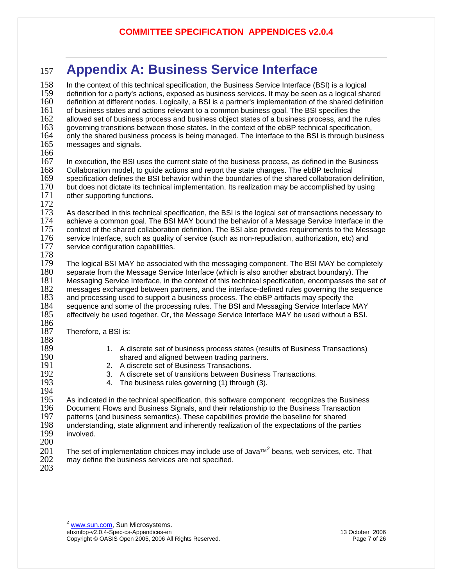# <span id="page-6-0"></span><sup>157</sup>**Appendix A: Business Service Interface**

<span id="page-6-1"></span>158 In the context of this technical specification, the Business Service Interface (BSI) is a logical<br>159 definition for a party's actions, exposed as business services. It may be seen as a logical sha 159 definition for a party's actions, exposed as business services. It may be seen as a logical shared 160 definition at different nodes. Logically, a BSI is a partner's implementation of the shared definition 161<br>161 of business states and actions relevant to a common business goal. The BSI specifies the 161 of business states and actions relevant to a common business goal. The BSI specifies the 162<br>162 allowed set of business process and business object states of a business process, and the 162 allowed set of business process and business object states of a business process, and the rules<br>163 governing transitions between those states. In the context of the ebBP technical specification, 163 governing transitions between those states. In the context of the ebBP technical specification,<br>164 only the shared business process is being managed. The interface to the BSI is through busine 164 only the shared business process is being managed. The interface to the BSI is through business 165 messages and signals. messages and signals. 166<br>167 167 In execution, the BSI uses the current state of the business process, as defined in the Business 168<br>168 Collaboration model, to quide actions and report the state changes. The ebBP technical 168 Collaboration model, to guide actions and report the state changes. The ebBP technical<br>169 specification defines the BSI behavior within the boundaries of the shared collaboration of 169 specification defines the BSI behavior within the boundaries of the shared collaboration definition,<br>170 but does not dictate its technical implementation. Its realization may be accomplished by using 170 but does not dictate its technical implementation. Its realization may be accomplished by using <br>171 other supporting functions. other supporting functions. 172<br>173 173 As described in this technical specification, the BSI is the logical set of transactions necessary to 174 achieve a common goal. The BSI MAY bound the behavior of a Message Service Interface in the 174 achieve a common goal. The BSI MAY bound the behavior of a Message Service Interface in the 155<br>175 context of the shared collaboration definition. The BSI also provides requirements to the Message 175 context of the shared collaboration definition. The BSI also provides requirements to the Message<br>176 service Interface, such as quality of service (such as non-repudiation, authorization, etc) and 176 service Interface, such as quality of service (such as non-repudiation, authorization, etc) and <br>177 service configuration capabilities. service configuration capabilities. 178<br>179 179 The logical BSI MAY be associated with the messaging component. The BSI MAY be completely 180 separate from the Message Service Interface (which is also another abstract boundary). The 180 separate from the Message Service Interface (which is also another abstract boundary). The 181<br>181 Messaging Service Interface, in the context of this technical specification, encompasses the s 181 Messaging Service Interface, in the context of this technical specification, encompasses the set of 182<br>182 messages exchanged between partners, and the interface-defined rules governing the sequence 182 messages exchanged between partners, and the interface-defined rules governing the sequence 183<br>183 and processing used to support a business process. The ebBP artifacts may specify the 183 and processing used to support a business process. The ebBP artifacts may specify the 184<br>184 sequence and some of the processing rules. The BSI and Messaging Service Interface N 184 sequence and some of the processing rules. The BSI and Messaging Service Interface MAY<br>185 effectively be used together. Or. the Message Service Interface MAY be used without a BSI. effectively be used together. Or, the Message Service Interface MAY be used without a BSI. 186<br>187 Therefore, a BSI is: 188<br>189 189 1. A discrete set of business process states (results of Business Transactions)<br>190 190 190 1910 Shared and aligned between trading partners. 190 shared and aligned between trading partners. 191 2. A discrete set of Business Transactions.<br>192 3. A discrete set of transitions between Bus 192 3. A discrete set of transitions between Business Transactions.<br>193 193 4. The business rules governing (1) through (3). 4. The business rules governing (1) through (3). 194<br>195 195 As indicated in the technical specification, this software component recognizes the Business<br>196 Document Flows and Business Signals, and their relationship to the Business Transaction 196 Document Flows and Business Signals, and their relationship to the Business Transaction<br>197 patterns (and business semantics). These capabilities provide the baseline for shared 197 patterns (and business semantics). These capabilities provide the baseline for shared<br>198 understanding, state alignment and inherently realization of the expectations of the par 198 understanding, state alignment and inherently realization of the expectations of the parties 199 involved. involved. 200 The set of implementation choices may include use of Java<sup>™[2](#page-6-1)</sup> beans, web services, etc. That  $202$  may define the business services are not specified. may define the business services are not specified.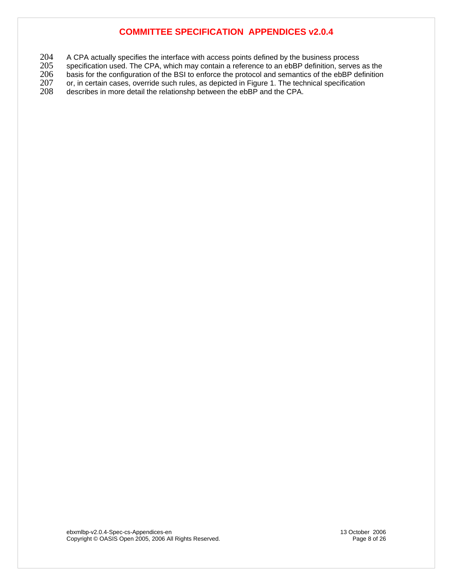204 A CPA actually specifies the interface with access points defined by the business process<br>205 specification used. The CPA, which may contain a reference to an ebBP definition, serves

205 specification used. The CPA, which may contain a reference to an ebBP definition, serves as the 206 basis for the configuration of the BSI to enforce the protocol and semantics of the ebBP definition

206 basis for the configuration of the BSI to enforce the protocol and semantics of the ebBP definition 207 or, in certain cases, override such rules, as depicted in Figure 1. The technical specification

207 or, in certain cases, override such rules, as depicted in Figure 1. The technical specification<br>208 describes in more detail the relationshp between the ebBP and the CPA. describes in more detail the relationshp between the ebBP and the CPA.

ebxmlbp-v2.0.4-Spec-cs-Appendices-en 13 October 2006 Copyright © OASIS Open 2005, 2006 All Rights Reserved. Page 8 of 26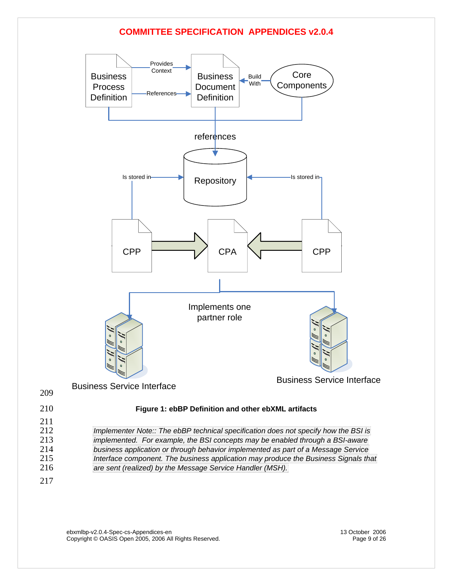

ebxmlbp-v2.0.4-Spec-cs-Appendices-en 13 October 2006 Copyright © OASIS Open 2005, 2006 All Rights Reserved. Page 9 of 26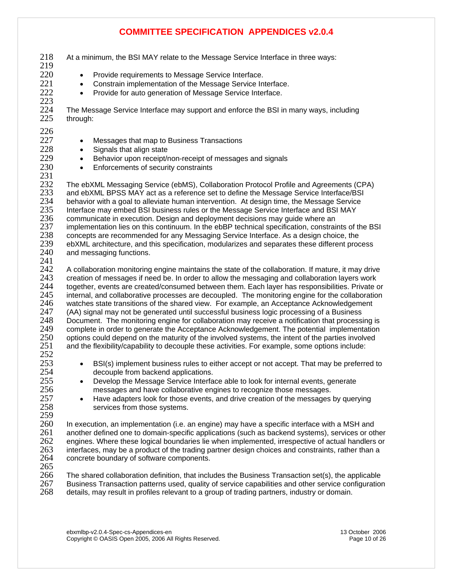218 At a minimum, the BSI MAY relate to the Message Service Interface in three ways: 219 220 • Provide requirements to Message Service Interface. 221 • Constrain implementation of the Message Service Interface.<br>222 • Provide for auto generation of Message Service Interface • Provide for auto generation of Message Service Interface. 223<br>224 224 The Message Service Interface may support and enforce the BSI in many ways, including through:  $\frac{226}{227}$ • Messages that map to Business Transactions 228 • Signals that align state<br>229 • Behavior upon receipt/r 229 • Behavior upon receipt/non-receipt of messages and signals<br>230 • Enforcements of security constraints Enforcements of security constraints  $\frac{231}{232}$ 232 The ebXML Messaging Service (ebMS), Collaboration Protocol Profile and Agreements (CPA)<br>233 and ebXML BPSS MAY act as a reference set to define the Message Service Interface/BSI 233 and ebXML BPSS MAY act as a reference set to define the Message Service Interface/BSI<br>234 behavior with a goal to alleviate human intervention. At design time, the Message Service 234 behavior with a goal to alleviate human intervention. At design time, the Message Service<br>235 Interface may embed BSI business rules or the Message Service Interface and BSI MAY 235 Interface may embed BSI business rules or the Message Service Interface and BSI MAY<br>236 communicate in execution. Design and deployment decisions may guide where an communicate in execution. Design and deployment decisions may guide where an 237 implementation lies on this continuum. In the ebBP technical specification, constraints of the BSI<br>238 concepts are recommended for any Messaging Service Interface. As a design choice. the 238 concepts are recommended for any Messaging Service Interface. As a design choice, the 239 ebXML architecture, and this specification, modularizes and separates these different proc 239 ebXML architecture, and this specification, modularizes and separates these different process 240 and messaging functions. and messaging functions. 241<br>242 242 A collaboration monitoring engine maintains the state of the collaboration. If mature, it may drive 243 creation of messages if need be. In order to allow the messaging and collaboration lavers work 243 creation of messages if need be. In order to allow the messaging and collaboration layers work 244 together, events are created/consumed between them. Each layer has responsibilities. Private or 245 internal, and collaborative processes are decoupled. The monitoring engine for the collaboration 245 internal, and collaborative processes are decoupled. The monitoring engine for the collaboration<br>246 vatches state transitions of the shared view. For example, an Acceptance Acknowledgement 246 watches state transitions of the shared view. For example, an Acceptance Acknowledgement 247 (AA) signal may not be generated until successful business 247 (AA) signal may not be generated until successful business logic processing of a Business 248 Document. The monitoring engine for collaboration may receive a notification that processing is<br>249 Complete in order to generate the Acceptance Acknowledgement. The potential implementation 249 complete in order to generate the Acceptance Acknowledgement. The potential implementation<br>250 options could depend on the maturity of the involved systems, the intent of the parties involved 250 options could depend on the maturity of the involved systems, the intent of the parties involved 251 and the flexibility/capability to decouple these activities. For example, some options include: and the flexibility/capability to decouple these activities. For example, some options include:  $\frac{252}{253}$ <sup>253</sup> • BSI(s) implement business rules to either accept or not accept. That may be preferred to 254 decouple from backend applications. 255 • Develop the Message Service Interface able to look for internal events, generate 256 messages and have collaborative engines to recognize those messages.<br>257 **e** Have adapters look for those events, and drive creation of the messages <sup>257</sup> • Have adapters look for those events, and drive creation of the messages by querying<br>258 services from those systems. services from those systems. 259 260 In execution, an implementation (i.e. an engine) may have a specific interface with a MSH and 261 another defined one to domain-specific applications (such as backend systems), services or ot 261 another defined one to domain-specific applications (such as backend systems), services or other 262 engines. Where these logical boundaries lie when implemented, irrespective of actual handlers or 263 interfaces, may be a product of the trading partner design choices and constraints, rather than a 263 interfaces, may be a product of the trading partner design choices and constraints, rather than a 264 concrete boundary of software components. concrete boundary of software components.  $\frac{265}{266}$ 266 The shared collaboration definition, that includes the Business Transaction set(s), the applicable 267 Business Transaction patterns used, quality of service capabilities and other service configuration 267 Business Transaction patterns used, quality of service capabilities and other service configuration<br>268 details, may result in profiles relevant to a group of trading partners, industry or domain. details, may result in profiles relevant to a group of trading partners, industry or domain.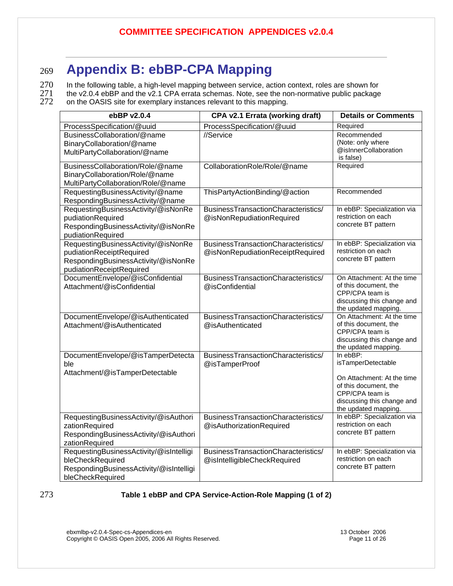## <span id="page-10-0"></span><sup>269</sup>**Appendix B: ebBP-CPA Mapping**

 $270$  In the following table, a high-level mapping between service, action context, roles are shown for  $271$  the v2.0.4 ebBP and the v2.1 CPA errata schemas. Note, see the non-normative public package 271 the v2.0.4 ebBP and the v2.1 CPA errata schemas. Note, see the non-normative public package<br>272 on the OASIS site for exemplary instances relevant to this mapping.

on the OASIS site for exemplary instances relevant to this mapping.

| ebBP v2.0.4                                                                                                                        | CPA v2.1 Errata (working draft)                                         | <b>Details or Comments</b>                                                                                                                                     |
|------------------------------------------------------------------------------------------------------------------------------------|-------------------------------------------------------------------------|----------------------------------------------------------------------------------------------------------------------------------------------------------------|
| ProcessSpecification/@uuid                                                                                                         | ProcessSpecification/@uuid                                              | Required                                                                                                                                                       |
| BusinessCollaboration/@name<br>BinaryCollaboration/@name<br>MultiPartyCollaboration/@name                                          | //Service                                                               | Recommended<br>(Note: only where<br>@isInnerCollaboration<br>is false)                                                                                         |
| BusinessCollaboration/Role/@name<br>BinaryCollaboration/Role/@name<br>MultiPartyCollaboration/Role/@name                           | CollaborationRole/Role/@name                                            | Required                                                                                                                                                       |
| RequestingBusinessActivity/@name<br>RespondingBusinessActivity/@name                                                               | ThisPartyActionBinding/@action                                          | Recommended                                                                                                                                                    |
| RequestingBusinessActivity/@isNonRe<br>pudiationRequired<br>RespondingBusinessActivity/@isNonRe<br>pudiationRequired               | BusinessTransactionCharacteristics/<br>@isNonRepudiationRequired        | In ebBP: Specialization via<br>restriction on each<br>concrete BT pattern                                                                                      |
| RequestingBusinessActivity/@isNonRe<br>pudiationReceiptRequired<br>RespondingBusinessActivity/@isNonRe<br>pudiationReceiptRequired | BusinessTransactionCharacteristics/<br>@isNonRepudiationReceiptRequired | In ebBP: Specialization via<br>restriction on each<br>concrete BT pattern                                                                                      |
| DocumentEnvelope/@isConfidential<br>Attachment/@isConfidential                                                                     | BusinessTransactionCharacteristics/<br>@isConfidential                  | On Attachment: At the time<br>of this document, the<br>CPP/CPA team is<br>discussing this change and<br>the updated mapping.                                   |
| DocumentEnvelope/@isAuthenticated<br>Attachment/@isAuthenticated                                                                   | BusinessTransactionCharacteristics/<br>@isAuthenticated                 | On Attachment: At the time<br>of this document, the<br>CPP/CPA team is<br>discussing this change and<br>the updated mapping.                                   |
| DocumentEnvelope/@isTamperDetecta<br>ble<br>Attachment/@isTamperDetectable                                                         | BusinessTransactionCharacteristics/<br>@isTamperProof                   | In ebBP:<br>isTamperDetectable<br>On Attachment: At the time<br>of this document, the<br>CPP/CPA team is<br>discussing this change and<br>the updated mapping. |
| RequestingBusinessActivity/@isAuthori<br>zationRequired<br>RespondingBusinessActivity/@isAuthori<br>zationRequired                 | BusinessTransactionCharacteristics/<br>@isAuthorizationRequired         | In ebBP: Specialization via<br>restriction on each<br>concrete BT pattern                                                                                      |
| RequestingBusinessActivity/@isIntelligi<br>bleCheckRequired<br>RespondingBusinessActivity/@isIntelligi<br>bleCheckRequired         | BusinessTransactionCharacteristics/<br>@isIntelligibleCheckRequired     | In ebBP: Specialization via<br>restriction on each<br>concrete BT pattern                                                                                      |

#### 273 **Table 1 ebBP and CPA Service-Action-Role Mapping (1 of 2)**

ebxmlbp-v2.0.4-Spec-cs-Appendices-en 13 October 2006 Copyright © OASIS Open 2005, 2006 All Rights Reserved. Page 11 of 26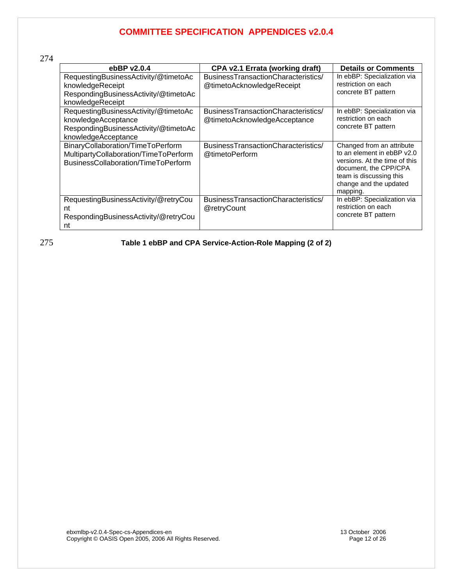| ebBP $v2.0.4$                                                                                                              | CPA v2.1 Errata (working draft)                                     | <b>Details or Comments</b>                                                                                                                                                         |
|----------------------------------------------------------------------------------------------------------------------------|---------------------------------------------------------------------|------------------------------------------------------------------------------------------------------------------------------------------------------------------------------------|
| RequestingBusinessActivity/@timetoAc<br>knowledgeReceipt<br>RespondingBusinessActivity/@timetoAc<br>knowledgeReceipt       | BusinessTransactionCharacteristics/<br>@timetoAcknowledgeReceipt    | In ebBP: Specialization via<br>restriction on each<br>concrete BT pattern                                                                                                          |
| RequestingBusinessActivity/@timetoAc<br>knowledgeAcceptance<br>RespondingBusinessActivity/@timetoAc<br>knowledgeAcceptance | BusinessTransactionCharacteristics/<br>@timetoAcknowledgeAcceptance | In ebBP: Specialization via<br>restriction on each<br>concrete BT pattern                                                                                                          |
| BinaryCollaboration/TimeToPerform<br>MultipartyCollaboration/TimeToPerform<br>BusinessCollaboration/TimeToPerform          | BusinessTransactionCharacteristics/<br>@timetoPerform               | Changed from an attribute<br>to an element in ebBP v2.0<br>versions. At the time of this<br>document, the CPP/CPA<br>team is discussing this<br>change and the updated<br>mapping. |
| RequestingBusinessActivity/@retryCou<br>nt<br>RespondingBusinessActivity/@retryCou<br>nt                                   | BusinessTransactionCharacteristics/<br>@retryCount                  | In ebBP: Specialization via<br>restriction on each<br>concrete BT pattern                                                                                                          |

275 **Table 1 ebBP and CPA Service-Action-Role Mapping (2 of 2)** 

ebxmlbp-v2.0.4-Spec-cs-Appendices-en 13 October 2006 Copyright © OASIS Open 2005, 2006 All Rights Reserved. Page 12 of 26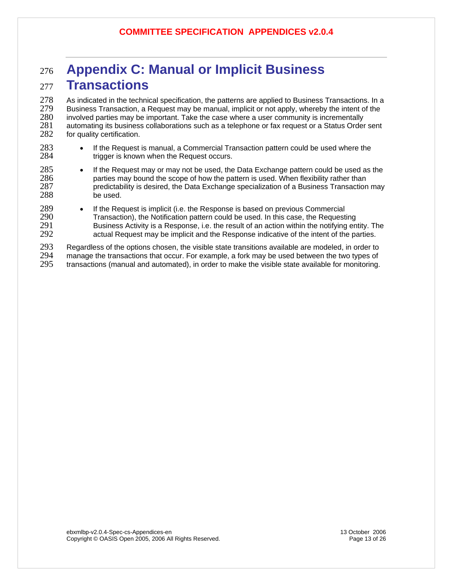## <span id="page-12-0"></span><sup>276</sup>**Appendix C: Manual or Implicit Business**  <sup>277</sup>**Transactions**

278 As indicated in the technical specification, the patterns are applied to Business Transactions. In a<br>279 Business Transaction, a Request may be manual, implicit or not apply, whereby the intent of the 279 Business Transaction, a Request may be manual, implicit or not apply, whereby the intent of the 280<br>280 involved parties may be important. Take the case where a user community is incrementally 280 involved parties may be important. Take the case where a user community is incrementally<br>281 automating its business collaborations such as a telephone or fax request or a Status Order 281 automating its business collaborations such as a telephone or fax request or a Status Order sent 282 for quality certification. for quality certification.

- 283 If the Request is manual, a Commercial Transaction pattern could be used where the 284 triquer is known when the Request occurs. trigger is known when the Request occurs.
- 285 If the Request may or may not be used, the Data Exchange pattern could be used as the 286 parties may bound the scope of how the pattern is used. When flexibility rather than 287 predictability is desired, the Data Exchange specialization of a Business Transaction 287 predictability is desired, the Data Exchange specialization of a Business Transaction may be used.
- 289 If the Request is implicit (i.e. the Response is based on previous Commercial<br>290 Transaction), the Notification pattern could be used. In this case, the Request 290 Transaction), the Notification pattern could be used. In this case, the Requesting<br>291 Susiness Activity is a Response, i.e. the result of an action within the notifying en 291 Business Activity is a Response, i.e. the result of an action within the notifying entity. The 292 actual Request may be implicit and the Response indicative of the intent of the parties. actual Request may be implicit and the Response indicative of the intent of the parties.

293 Regardless of the options chosen, the visible state transitions available are modeled, in order to 294 manage the transactions that occur. For example, a fork may be used between the two types of 294 manage the transactions that occur. For example, a fork may be used between the two types of 295 transactions (manual and automated), in order to make the visible state available for monitoring. transactions (manual and automated), in order to make the visible state available for monitoring.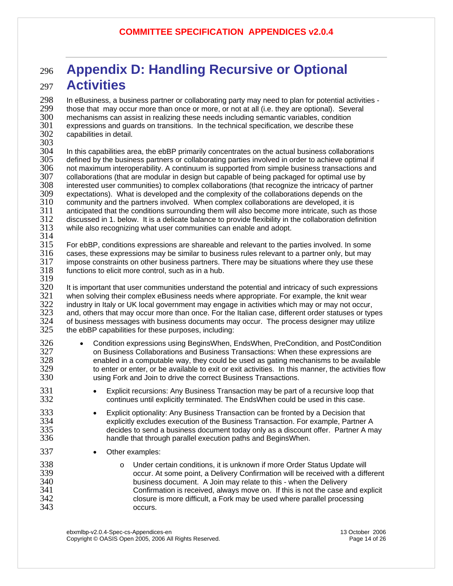## <span id="page-13-0"></span><sup>296</sup>**Appendix D: Handling Recursive or Optional**  <sup>297</sup>**Activities**

298 In eBusiness, a business partner or collaborating party may need to plan for potential activities -<br>299 Ithose that may occur more than once or more, or not at all (i.e. they are optional). Several 299 those that may occur more than once or more, or not at all (i.e. they are optional). Several<br>300 the mechanisms can assist in realizing these needs including semantic variables, condition 300 mechanisms can assist in realizing these needs including semantic variables, condition 301 expressions and guards on transitions. In the technical specification, we describe these .<br>302 capabilities in detail. capabilities in detail.

303<br>304

304 In this capabilities area, the ebBP primarily concentrates on the actual business collaborations<br>305 defined by the business partners or collaborating parties involved in order to achieve optimal if 305 defined by the business partners or collaborating parties involved in order to achieve optimal if<br>306 not maximum interoperabilitv. A continuum is supported from simple business transactions and 306 not maximum interoperability. A continuum is supported from simple business transactions and<br>307 collaborations (that are modular in design but capable of being packaged for optimal use by 307 collaborations (that are modular in design but capable of being packaged for optimal use by<br>308 interested user communities) to complex collaborations (that recognize the intricacy of partn interested user communities) to complex collaborations (that recognize the intricacy of partner 309 expectations). What is developed and the complexity of the collaborations depends on the 310 community and the partners involved. When complex collaborations are developed, it is community and the partners involved. When complex collaborations are developed, it is  $311$  anticipated that the conditions surrounding them will also become more intricate, such as those  $312$  discussed in 1. below. It is a delicate balance to provide flexibility in the collaboration definition 312 discussed in 1. below. It is a delicate balance to provide flexibility in the collaboration definition 313 while also recognizing what user communities can enable and adopt. while also recognizing what user communities can enable and adopt.

 $\frac{314}{315}$ 315 For ebBP, conditions expressions are shareable and relevant to the parties involved. In some 316 cases, these expressions may be similar to business rules relevant to a partner only, but may cases, these expressions may be similar to business rules relevant to a partner only, but may 317 impose constraints on other business partners. There may be situations where they use these 318 functions to elicit more control, such as in a hub. functions to elicit more control, such as in a hub.

319

320 It is important that user communities understand the potential and intricacy of such expressions 321 when solving their complex eBusiness needs where appropriate. For example, the knit wear 321 when solving their complex eBusiness needs where appropriate. For example, the knit wear<br>322 industry in Italy or UK local government may engage in activities which may or may not occu 322 industry in Italy or UK local government may engage in activities which may or may not occur,<br>323 and. others that may occur more than once. For the Italian case. different order statuses or tvr 323 and, others that may occur more than once. For the Italian case, different order statuses or types<br>324 of business messages with business documents may occur. The process designer may utilize 324 of business messages with business documents may occur. The process designer may utilize 325 the ebBP capabilities for these purposes, including: the ebBP capabilities for these purposes, including:

- 326 Condition expressions using BeginsWhen, EndsWhen, PreCondition, and PostCondition 327 on Business Collaborations and Business Transactions: When these expressions are enabled in a computable way, they could be used as gating mechanisms to be available 329 to enter or enter, or be available to exit or exit activities. In this manner, the activities flow 330 using Fork and Join to drive the correct Business Transactions.
- <sup>331</sup> Explicit recursions: Any Business Transaction may be part of a recursive loop that<br>332 continues until explicitly terminated. The EndsWhen could be used in this case. continues until explicitly terminated. The EndsWhen could be used in this case.
- <sup>333</sup> Explicit optionality: Any Business Transaction can be fronted by a Decision that<br>334  **explicitiv excludes execution of the Business Transaction. For example. Partner** explicitly excludes execution of the Business Transaction. For example, Partner A 335 decides to send a business document today only as a discount offer. Partner A may 336 handle that through parallel execution paths and BeginsWhen.
- 337 Other examples:
- <sup>338</sup> o Under certain conditions, it is unknown if more Order Status Update will<br>339 occur. At some point, a Delivery Confirmation will be received with a diff 339 occur. At some point, a Delivery Confirmation will be received with a different 340 business document. A Join may relate to this - when the Delivery Confirmation is received, always move on. If this is not the case and explicit 342 closure is more difficult, a Fork may be used where parallel processing occurs.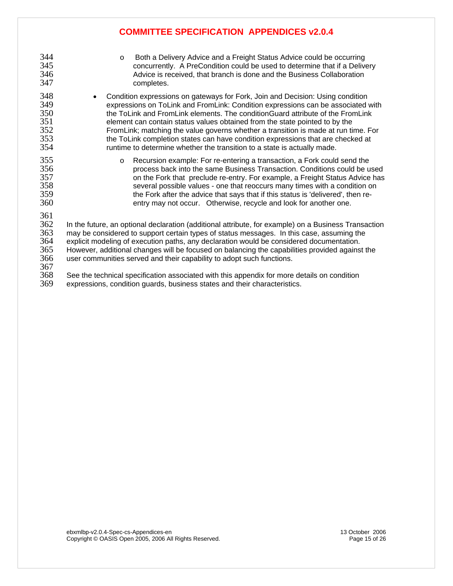344 o Both a Delivery Advice and a Freight Status Advice could be occurring<br>345 concurrently. A PreCondition could be used to determine that if a Delive 345 concurrently. A PreCondition could be used to determine that if a Delivery 346 Advice is received, that branch is done and the Business Collaboration<br>347 completes. completes. 348 • Condition expressions on gateways for Fork, Join and Decision: Using condition 349 expressions on ToLink and FromLink: Condition expressions can be associated with 350 the ToLink and FromLink elements. The conditionGuard attribute of the FromLink<br>351 selement can contain status values obtained from the state pointed to by the 351 element can contain status values obtained from the state pointed to by the FromLink; matching the value governs whether a transition is made at run time. For 353 the ToLink completion states can have condition expressions that are checked at 354 cuntime to determine whether the transition to a state is actually made. runtime to determine whether the transition to a state is actually made. 355 o Recursion example: For re-entering a transaction, a Fork could send the 356 process back into the same Business Transaction. Conditions could be used 357 on the Fork that preclude re-entry. For example, a Freight Status Advice has 358 several possible values - one that reoccurs many times with a condition on 359 the Fork after the advice that says that if this status is 'delivered', then re-360 entry may not occur. Otherwise, recycle and look for another one. 361<br>362 362 In the future, an optional declaration (additional attribute, for example) on a Business Transaction<br>363 may be considered to support certain types of status messages. In this case, assuming the 363 may be considered to support certain types of status messages. In this case, assuming the<br>364 explicit modeling of execution paths. anv declaration would be considered documentation.

364 explicit modeling of execution paths, any declaration would be considered documentation. 365 However, additional changes will be focused on balancing the capabilities provided against the 366 user communities served and their capability to adopt such functions.

367

368 See the technical specification associated with this appendix for more details on condition<br>369 expressions, condition quards, business states and their characteristics expressions, condition guards, business states and their characteristics.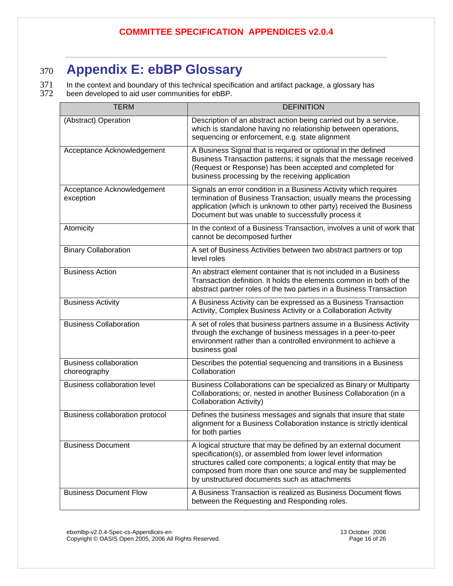# <span id="page-15-0"></span><sup>370</sup>**Appendix E: ebBP Glossary**

371 In the context and boundary of this technical specification and artifact package, a glossary has<br>372 been developed to aid user communities for ebBP. been developed to aid user communities for ebBP.

| <b>TERM</b>                                   | <b>DEFINITION</b>                                                                                                                                                                                                                                                                                                |
|-----------------------------------------------|------------------------------------------------------------------------------------------------------------------------------------------------------------------------------------------------------------------------------------------------------------------------------------------------------------------|
| (Abstract) Operation                          | Description of an abstract action being carried out by a service,<br>which is standalone having no relationship between operations,<br>sequencing or enforcement, e.g. state alignment                                                                                                                           |
| Acceptance Acknowledgement                    | A Business Signal that is required or optional in the defined<br>Business Transaction patterns; it signals that the message received<br>(Request or Response) has been accepted and completed for<br>business processing by the receiving application                                                            |
| Acceptance Acknowledgement<br>exception       | Signals an error condition in a Business Activity which requires<br>termination of Business Transaction; usually means the processing<br>application (which is unknown to other party) received the Business<br>Document but was unable to successfully process it                                               |
| Atomicity                                     | In the context of a Business Transaction, involves a unit of work that<br>cannot be decomposed further                                                                                                                                                                                                           |
| <b>Binary Collaboration</b>                   | A set of Business Activities between two abstract partners or top<br>level roles                                                                                                                                                                                                                                 |
| <b>Business Action</b>                        | An abstract element container that is not included in a Business<br>Transaction definition. It holds the elements common in both of the<br>abstract partner roles of the two parties in a Business Transaction                                                                                                   |
| <b>Business Activity</b>                      | A Business Activity can be expressed as a Business Transaction<br>Activity, Complex Business Activity or a Collaboration Activity                                                                                                                                                                                |
| <b>Business Collaboration</b>                 | A set of roles that business partners assume in a Business Activity<br>through the exchange of business messages in a peer-to-peer<br>environment rather than a controlled environment to achieve a<br>business goal                                                                                             |
| <b>Business collaboration</b><br>choreography | Describes the potential sequencing and transitions in a Business<br>Collaboration                                                                                                                                                                                                                                |
| <b>Business collaboration level</b>           | Business Collaborations can be specialized as Binary or Multiparty<br>Collaborations; or, nested in another Business Collaboration (in a<br><b>Collaboration Activity)</b>                                                                                                                                       |
| Business collaboration protocol               | Defines the business messages and signals that insure that state<br>alignment for a Business Collaboration instance is strictly identical<br>for both parties                                                                                                                                                    |
| <b>Business Document</b>                      | A logical structure that may be defined by an external document<br>specification(s), or assembled from lower level information<br>structures called core components; a logical entity that may be<br>composed from more than one source and may be supplemented<br>by unstructured documents such as attachments |
| <b>Business Document Flow</b>                 | A Business Transaction is realized as Business Document flows<br>between the Requesting and Responding roles.                                                                                                                                                                                                    |

ebxmlbp-v2.0.4-Spec-cs-Appendices-en 13 October 2006 Copyright © OASIS Open 2005, 2006 All Rights Reserved. Page 16 of 26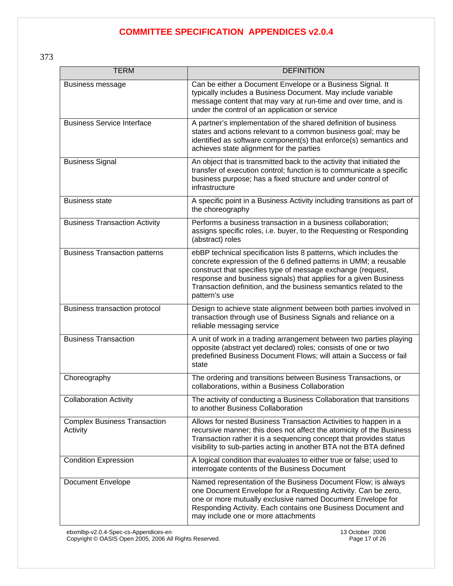373

| <b>TERM</b>                                     | <b>DEFINITION</b>                                                                                                                                                                                                                                                                                                                                              |
|-------------------------------------------------|----------------------------------------------------------------------------------------------------------------------------------------------------------------------------------------------------------------------------------------------------------------------------------------------------------------------------------------------------------------|
| Business message                                | Can be either a Document Envelope or a Business Signal. It<br>typically includes a Business Document. May include variable<br>message content that may vary at run-time and over time, and is<br>under the control of an application or service                                                                                                                |
| <b>Business Service Interface</b>               | A partner's implementation of the shared definition of business<br>states and actions relevant to a common business goal; may be<br>identified as software component(s) that enforce(s) semantics and<br>achieves state alignment for the parties                                                                                                              |
| <b>Business Signal</b>                          | An object that is transmitted back to the activity that initiated the<br>transfer of execution control; function is to communicate a specific<br>business purpose; has a fixed structure and under control of<br>infrastructure                                                                                                                                |
| <b>Business state</b>                           | A specific point in a Business Activity including transitions as part of<br>the choreography                                                                                                                                                                                                                                                                   |
| <b>Business Transaction Activity</b>            | Performs a business transaction in a business collaboration;<br>assigns specific roles, i.e. buyer, to the Requesting or Responding<br>(abstract) roles                                                                                                                                                                                                        |
| <b>Business Transaction patterns</b>            | ebBP technical specification lists 8 patterns, which includes the<br>concrete expression of the 6 defined patterns in UMM; a reusable<br>construct that specifies type of message exchange (request,<br>response and business signals) that applies for a given Business<br>Transaction definition, and the business semantics related to the<br>pattern's use |
| Business transaction protocol                   | Design to achieve state alignment between both parties involved in<br>transaction through use of Business Signals and reliance on a<br>reliable messaging service                                                                                                                                                                                              |
| <b>Business Transaction</b>                     | A unit of work in a trading arrangement between two parties playing<br>opposite (abstract yet declared) roles; consists of one or two<br>predefined Business Document Flows; will attain a Success or fail<br>state                                                                                                                                            |
| Choreography                                    | The ordering and transitions between Business Transactions, or<br>collaborations, within a Business Collaboration                                                                                                                                                                                                                                              |
| <b>Collaboration Activity</b>                   | The activity of conducting a Business Collaboration that transitions<br>to another Business Collaboration                                                                                                                                                                                                                                                      |
| <b>Complex Business Transaction</b><br>Activity | Allows for nested Business Transaction Activities to happen in a<br>recursive manner; this does not affect the atomicity of the Business<br>Transaction rather it is a sequencing concept that provides status<br>visibility to sub-parties acting in another BTA not the BTA defined                                                                          |
| <b>Condition Expression</b>                     | A logical condition that evaluates to either true or false; used to<br>interrogate contents of the Business Document                                                                                                                                                                                                                                           |
| <b>Document Envelope</b>                        | Named representation of the Business Document Flow; is always<br>one Document Envelope for a Requesting Activity. Can be zero,<br>one or more mutually exclusive named Document Envelope for<br>Responding Activity. Each contains one Business Document and<br>may include one or more attachments                                                            |

ebxmlbp-v2.0.4-Spec-cs-Appendices-en 13 October 2006

Copyright © OASIS Open 2005, 2006 All Rights Reserved. Page 17 of 26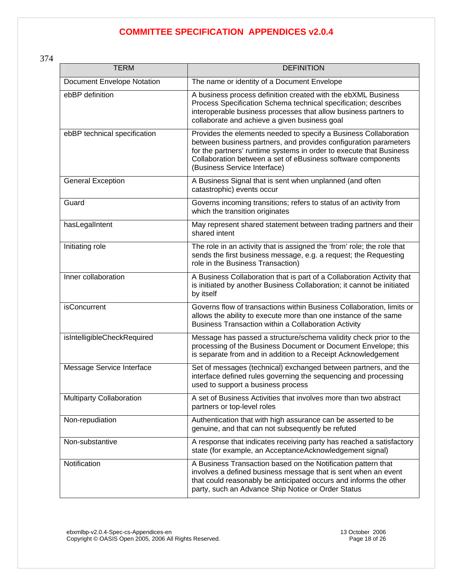| <b>TERM</b>                       | <b>DEFINITION</b>                                                                                                                                                                                                                                                                                           |
|-----------------------------------|-------------------------------------------------------------------------------------------------------------------------------------------------------------------------------------------------------------------------------------------------------------------------------------------------------------|
| <b>Document Envelope Notation</b> | The name or identity of a Document Envelope                                                                                                                                                                                                                                                                 |
| ebBP definition                   | A business process definition created with the ebXML Business<br>Process Specification Schema technical specification; describes<br>interoperable business processes that allow business partners to<br>collaborate and achieve a given business goal                                                       |
| ebBP technical specification      | Provides the elements needed to specify a Business Collaboration<br>between business partners, and provides configuration parameters<br>for the partners' runtime systems in order to execute that Business<br>Collaboration between a set of eBusiness software components<br>(Business Service Interface) |
| <b>General Exception</b>          | A Business Signal that is sent when unplanned (and often<br>catastrophic) events occur                                                                                                                                                                                                                      |
| Guard                             | Governs incoming transitions; refers to status of an activity from<br>which the transition originates                                                                                                                                                                                                       |
| hasLegalIntent                    | May represent shared statement between trading partners and their<br>shared intent                                                                                                                                                                                                                          |
| Initiating role                   | The role in an activity that is assigned the 'from' role; the role that<br>sends the first business message, e.g. a request; the Requesting<br>role in the Business Transaction)                                                                                                                            |
| Inner collaboration               | A Business Collaboration that is part of a Collaboration Activity that<br>is initiated by another Business Collaboration; it cannot be initiated<br>by itself                                                                                                                                               |
| <b>isConcurrent</b>               | Governs flow of transactions within Business Collaboration, limits or<br>allows the ability to execute more than one instance of the same<br>Business Transaction within a Collaboration Activity                                                                                                           |
| isIntelligibleCheckRequired       | Message has passed a structure/schema validity check prior to the<br>processing of the Business Document or Document Envelope; this<br>is separate from and in addition to a Receipt Acknowledgement                                                                                                        |
| Message Service Interface         | Set of messages (technical) exchanged between partners, and the<br>interface defined rules governing the sequencing and processing<br>used to support a business process                                                                                                                                    |
| <b>Multiparty Collaboration</b>   | A set of Business Activities that involves more than two abstract<br>partners or top-level roles                                                                                                                                                                                                            |
| Non-repudiation                   | Authentication that with high assurance can be asserted to be<br>genuine, and that can not subsequently be refuted                                                                                                                                                                                          |
| Non-substantive                   | A response that indicates receiving party has reached a satisfactory<br>state (for example, an AcceptanceAcknowledgement signal)                                                                                                                                                                            |
| Notification                      | A Business Transaction based on the Notification pattern that<br>involves a defined business message that is sent when an event<br>that could reasonably be anticipated occurs and informs the other<br>party, such an Advance Ship Notice or Order Status                                                  |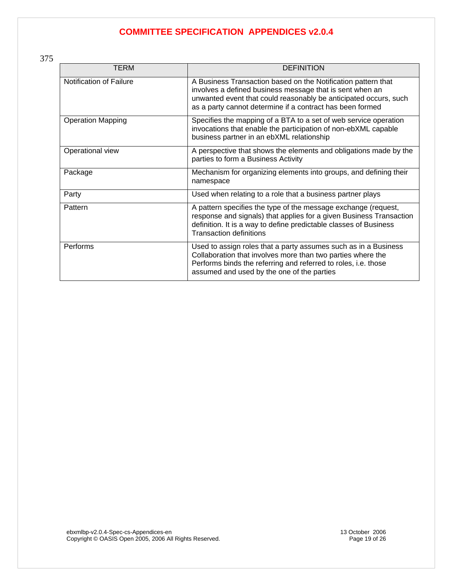| TERM                     | <b>DEFINITION</b>                                                                                                                                                                                                                                          |
|--------------------------|------------------------------------------------------------------------------------------------------------------------------------------------------------------------------------------------------------------------------------------------------------|
| Notification of Failure  | A Business Transaction based on the Notification pattern that<br>involves a defined business message that is sent when an<br>unwanted event that could reasonably be anticipated occurs, such<br>as a party cannot determine if a contract has been formed |
| <b>Operation Mapping</b> | Specifies the mapping of a BTA to a set of web service operation<br>invocations that enable the participation of non-ebXML capable<br>business partner in an ebXML relationship                                                                            |
| Operational view         | A perspective that shows the elements and obligations made by the<br>parties to form a Business Activity                                                                                                                                                   |
| Package                  | Mechanism for organizing elements into groups, and defining their<br>namespace                                                                                                                                                                             |
| Party                    | Used when relating to a role that a business partner plays                                                                                                                                                                                                 |
| Pattern                  | A pattern specifies the type of the message exchange (request,<br>response and signals) that applies for a given Business Transaction<br>definition. It is a way to define predictable classes of Business<br><b>Transaction definitions</b>               |
| Performs                 | Used to assign roles that a party assumes such as in a Business<br>Collaboration that involves more than two parties where the<br>Performs binds the referring and referred to roles, i.e. those<br>assumed and used by the one of the parties             |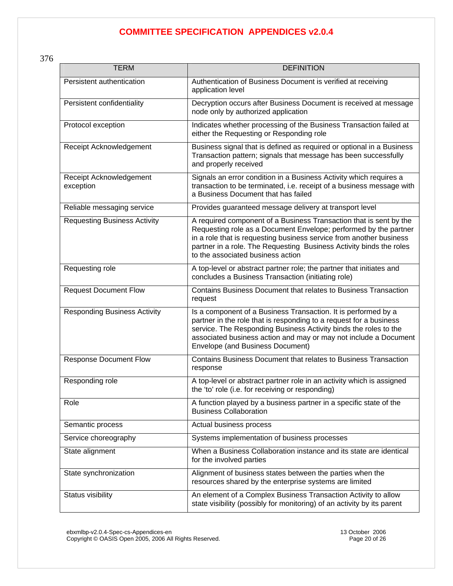376

| <b>TERM</b>                          | <b>DEFINITION</b>                                                                                                                                                                                                                                                                                                         |
|--------------------------------------|---------------------------------------------------------------------------------------------------------------------------------------------------------------------------------------------------------------------------------------------------------------------------------------------------------------------------|
| Persistent authentication            | Authentication of Business Document is verified at receiving<br>application level                                                                                                                                                                                                                                         |
| Persistent confidentiality           | Decryption occurs after Business Document is received at message<br>node only by authorized application                                                                                                                                                                                                                   |
| Protocol exception                   | Indicates whether processing of the Business Transaction failed at<br>either the Requesting or Responding role                                                                                                                                                                                                            |
| Receipt Acknowledgement              | Business signal that is defined as required or optional in a Business<br>Transaction pattern; signals that message has been successfully<br>and properly received                                                                                                                                                         |
| Receipt Acknowledgement<br>exception | Signals an error condition in a Business Activity which requires a<br>transaction to be terminated, i.e. receipt of a business message with<br>a Business Document that has failed                                                                                                                                        |
| Reliable messaging service           | Provides guaranteed message delivery at transport level                                                                                                                                                                                                                                                                   |
| <b>Requesting Business Activity</b>  | A required component of a Business Transaction that is sent by the<br>Requesting role as a Document Envelope; performed by the partner<br>in a role that is requesting business service from another business<br>partner in a role. The Requesting Business Activity binds the roles<br>to the associated business action |
| Requesting role                      | A top-level or abstract partner role; the partner that initiates and<br>concludes a Business Transaction (initiating role)                                                                                                                                                                                                |
| <b>Request Document Flow</b>         | Contains Business Document that relates to Business Transaction<br>request                                                                                                                                                                                                                                                |
| <b>Responding Business Activity</b>  | Is a component of a Business Transaction. It is performed by a<br>partner in the role that is responding to a request for a business<br>service. The Responding Business Activity binds the roles to the<br>associated business action and may or may not include a Document<br>Envelope (and Business Document)          |
| <b>Response Document Flow</b>        | Contains Business Document that relates to Business Transaction<br>response                                                                                                                                                                                                                                               |
| Responding role                      | A top-level or abstract partner role in an activity which is assigned<br>the 'to' role (i.e. for receiving or responding)                                                                                                                                                                                                 |
| Role                                 | A function played by a business partner in a specific state of the<br><b>Business Collaboration</b>                                                                                                                                                                                                                       |
| Semantic process                     | Actual business process                                                                                                                                                                                                                                                                                                   |
| Service choreography                 | Systems implementation of business processes                                                                                                                                                                                                                                                                              |
| State alignment                      | When a Business Collaboration instance and its state are identical<br>for the involved parties                                                                                                                                                                                                                            |
| State synchronization                | Alignment of business states between the parties when the<br>resources shared by the enterprise systems are limited                                                                                                                                                                                                       |
| Status visibility                    | An element of a Complex Business Transaction Activity to allow<br>state visibility (possibly for monitoring) of an activity by its parent                                                                                                                                                                                 |

ebxmlbp-v2.0.4-Spec-cs-Appendices-en 13 October 2006 Copyright © OASIS Open 2005, 2006 All Rights Reserved. Page 20 of 26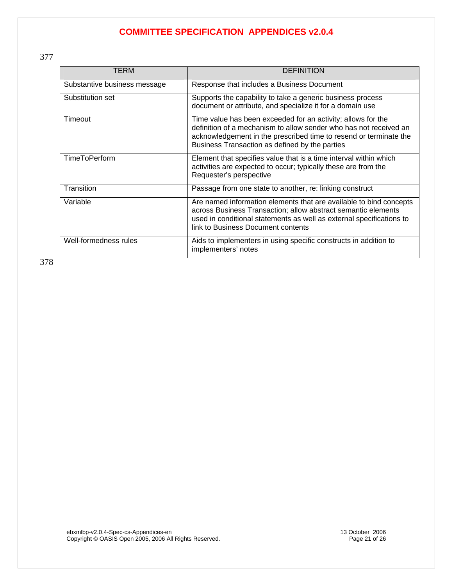377

| TERM                         | <b>DEFINITION</b>                                                                                                                                                                                                                                        |
|------------------------------|----------------------------------------------------------------------------------------------------------------------------------------------------------------------------------------------------------------------------------------------------------|
| Substantive business message | Response that includes a Business Document                                                                                                                                                                                                               |
| Substitution set             | Supports the capability to take a generic business process<br>document or attribute, and specialize it for a domain use                                                                                                                                  |
| Timeout                      | Time value has been exceeded for an activity; allows for the<br>definition of a mechanism to allow sender who has not received an<br>acknowledgement in the prescribed time to resend or terminate the<br>Business Transaction as defined by the parties |
| <b>TimeToPerform</b>         | Element that specifies value that is a time interval within which<br>activities are expected to occur; typically these are from the<br>Requester's perspective                                                                                           |
| Transition                   | Passage from one state to another, re: linking construct                                                                                                                                                                                                 |
| Variable                     | Are named information elements that are available to bind concepts<br>across Business Transaction; allow abstract semantic elements<br>used in conditional statements as well as external specifications to<br>link to Business Document contents        |
| Well-formedness rules        | Aids to implementers in using specific constructs in addition to<br>implementers' notes                                                                                                                                                                  |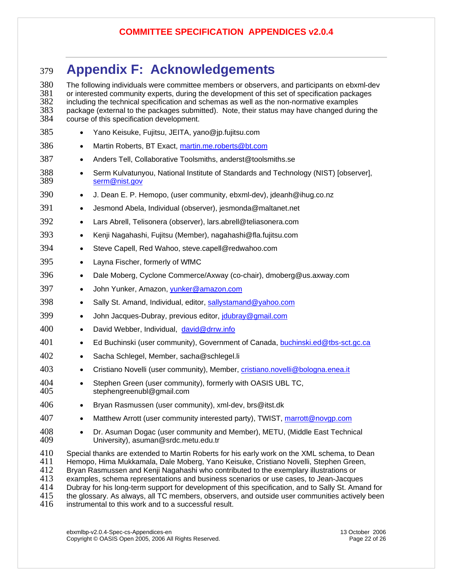# <span id="page-21-0"></span><sup>379</sup>**Appendix F: Acknowledgements**

380 The following individuals were committee members or observers, and participants on ebxml-dev<br>381 or interested community experts, during the development of this set of specification packages 381 or interested community experts, during the development of this set of specification packages<br>382 including the technical specification and schemas as well as the non-normative examples 382 including the technical specification and schemas as well as the non-normative examples<br>383 package (external to the packages submitted). Note, their status may have changed durir 383 package (external to the packages submitted). Note, their status may have changed during the 384 course of this specification development. course of this specification development. 385 • Yano Keisuke, Fujitsu, JEITA, yano@jp.fujitsu.com 386 • Martin Roberts, BT Exact, [martin.me.roberts@bt.com](mailto:martin.me.roberts@bt.com) 387 • Anders Tell, Collaborative Toolsmiths, anderst@toolsmiths.se 388 • Serm Kulvatunyou, National Institute of Standards and Technology (NIST) [observer], 389 [serm@nist.gov](mailto:serm@nist.gov) 390 • J. Dean E. P. Hemopo, (user community, ebxml-dev), jdeanh@ihug.co.nz 391 • Jesmond Abela, Individual (observer), jesmonda@maltanet.net 392 • Lars Abrell, Telisonera (observer), lars.abrell@teliasonera.com 393 • Kenji Nagahashi, Fujitsu (Member), nagahashi@fla.fujitsu.com 394 • Steve Capell, Red Wahoo, steve.capell@redwahoo.com 395 • Layna Fischer, formerly of WfMC 396 • Dale Moberg, Cyclone Commerce/Axway (co-chair), dmoberg@us.axway.com 397 • John Yunker, Amazon, [yunker@amazon.com](mailto:yunker@amazon.com) 398 • Sally St. Amand, Individual, editor, [sallystamand@yahoo.com](mailto:sallystamand@yahoo.com) 399 • John Jacques-Dubray, previous editor, joubray@gmail.com 400 • David Webber, Individual, [david@drrw.info](mailto:david@drrw.info) 401 • Ed Buchinski (user community), Government of Canada, [buchinski.ed@tbs-sct.gc.ca](mailto:buchinski.ed@tbs-sct.gc.ca) 402 • Sacha Schlegel, Member, sacha@schlegel.li 403 • Cristiano Novelli (user community), Member, [cristiano.novelli@bologna.enea.it](mailto:cristiano.novelli@bologna.enea.it) 404 • Stephen Green (user community), formerly with OASIS UBL TC,<br>405 stephengreenubl@gmail.com stephengreenubl@gmail.com 406 • Bryan Rasmussen (user community), xml-dev, brs@itst.dk 407 • Matthew Arrott (user community interested party), TWIST, [marrott@novgp.com](mailto:marrott@novgp.com) 408 • Dr. Asuman Dogac (user community and Member), METU, (Middle East Technical 409 University), asuman@srdc.metu.edu.tr 409 University), asuman@srdc.metu.edu.tr 410 Special thanks are extended to Martin Roberts for his early work on the XML schema, to Dean 411 Hemopo, Hima Mukkamala, Dale Moberg, Yano Keisuke, Cristiano Novelli, Stephen Green,<br>412 Bryan Rasmussen and Kenii Nagahashi who contributed to the exemplary illustrations or Bryan Rasmussen and Kenji Nagahashi who contributed to the exemplary illustrations or 413 examples, schema representations and business scenarios or use cases, to Jean-Jacques 414 Dubray for his long-term support for development of this specification, and to Sally St. Amand for 415 the glossary. As always, all TC members, observers, and outside user communities actively been

415 the glossary. As always, all TC members, observers, and outside user communities actively been<br>416 instrumental to this work and to a successful result. instrumental to this work and to a successful result.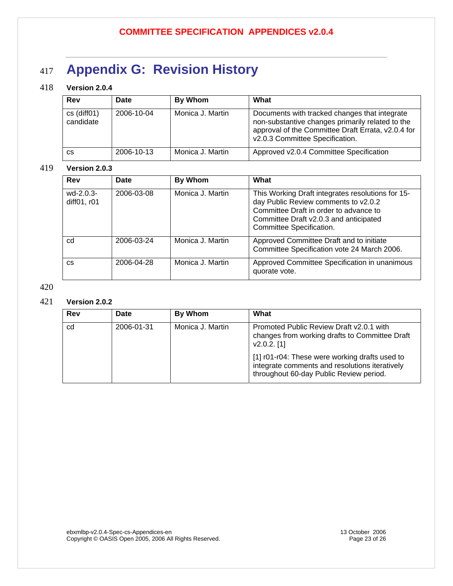# <span id="page-22-0"></span><sup>417</sup>**Appendix G: Revision History**

### 418 **Version 2.0.4**

| Rev                            | Date       | By Whom          | What                                                                                                                                                                                       |
|--------------------------------|------------|------------------|--------------------------------------------------------------------------------------------------------------------------------------------------------------------------------------------|
| $cs$ (diff $01$ )<br>candidate | 2006-10-04 | Monica J. Martin | Documents with tracked changes that integrate<br>non-substantive changes primarily related to the<br>approval of the Committee Draft Errata, v2.0.4 for<br>v2.0.3 Committee Specification. |
| <b>CS</b>                      | 2006-10-13 | Monica J. Martin | Approved v2.0.4 Committee Specification                                                                                                                                                    |

#### 419 **Version 2.0.3**

| <b>Rev</b>               | Date       | <b>By Whom</b>   | What                                                                                                                                                                                                      |
|--------------------------|------------|------------------|-----------------------------------------------------------------------------------------------------------------------------------------------------------------------------------------------------------|
| wd-2.0.3-<br>diff01, r01 | 2006-03-08 | Monica J. Martin | This Working Draft integrates resolutions for 15-<br>day Public Review comments to v2.0.2<br>Committee Draft in order to advance to<br>Committee Draft v2.0.3 and anticipated<br>Committee Specification. |
| cd                       | 2006-03-24 | Monica J. Martin | Approved Committee Draft and to initiate<br>Committee Specification vote 24 March 2006.                                                                                                                   |
| <b>CS</b>                | 2006-04-28 | Monica J. Martin | Approved Committee Specification in unanimous<br>quorate vote.                                                                                                                                            |

#### 420

### 421 **Version 2.0.2**

| Rev | Date       | By Whom          | What                                                                                                                                        |
|-----|------------|------------------|---------------------------------------------------------------------------------------------------------------------------------------------|
| cd  | 2006-01-31 | Monica J. Martin | Promoted Public Review Draft v2.0.1 with<br>changes from working drafts to Committee Draft<br>$v2.0.2.$ [1]                                 |
|     |            |                  | [1] r01-r04: These were working drafts used to<br>integrate comments and resolutions iteratively<br>throughout 60-day Public Review period. |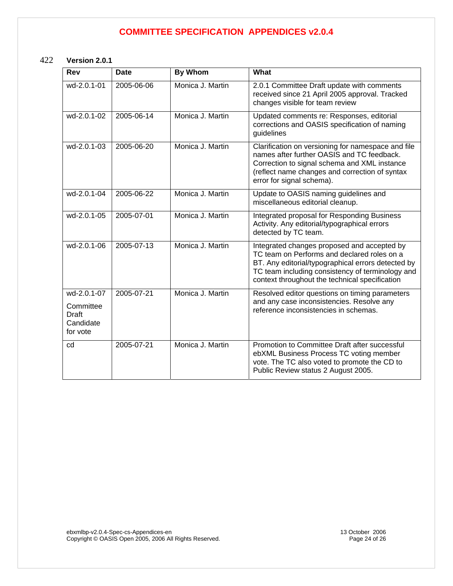### 422 **Version 2.0.1**

| Rev                                                        | <b>Date</b> | <b>By Whom</b>   | What                                                                                                                                                                                                                                                   |
|------------------------------------------------------------|-------------|------------------|--------------------------------------------------------------------------------------------------------------------------------------------------------------------------------------------------------------------------------------------------------|
| wd-2.0.1-01                                                | 2005-06-06  | Monica J. Martin | 2.0.1 Committee Draft update with comments<br>received since 21 April 2005 approval. Tracked<br>changes visible for team review                                                                                                                        |
| wd-2.0.1-02                                                | 2005-06-14  | Monica J. Martin | Updated comments re: Responses, editorial<br>corrections and OASIS specification of naming<br>guidelines                                                                                                                                               |
| wd-2.0.1-03                                                | 2005-06-20  | Monica J. Martin | Clarification on versioning for namespace and file<br>names after further OASIS and TC feedback.<br>Correction to signal schema and XML instance<br>(reflect name changes and correction of syntax<br>error for signal schema).                        |
| wd-2.0.1-04                                                | 2005-06-22  | Monica J. Martin | Update to OASIS naming guidelines and<br>miscellaneous editorial cleanup.                                                                                                                                                                              |
| wd-2.0.1-05                                                | 2005-07-01  | Monica J. Martin | Integrated proposal for Responding Business<br>Activity. Any editorial/typographical errors<br>detected by TC team.                                                                                                                                    |
| wd-2.0.1-06                                                | 2005-07-13  | Monica J. Martin | Integrated changes proposed and accepted by<br>TC team on Performs and declared roles on a<br>BT. Any editorial/typographical errors detected by<br>TC team including consistency of terminology and<br>context throughout the technical specification |
| wd-2.0.1-07<br>Committee<br>Draft<br>Candidate<br>for vote | 2005-07-21  | Monica J. Martin | Resolved editor questions on timing parameters<br>and any case inconsistencies. Resolve any<br>reference inconsistencies in schemas.                                                                                                                   |
| cd                                                         | 2005-07-21  | Monica J. Martin | Promotion to Committee Draft after successful<br>ebXML Business Process TC voting member<br>vote. The TC also voted to promote the CD to<br>Public Review status 2 August 2005.                                                                        |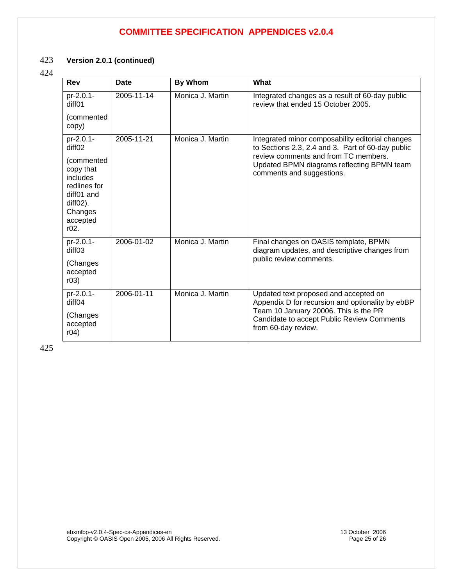#### 423 **Version 2.0.1 (continued)**

#### 424

| Rev                                                                                                                                    | <b>Date</b> | <b>By Whom</b>   | What                                                                                                                                                                                                                     |
|----------------------------------------------------------------------------------------------------------------------------------------|-------------|------------------|--------------------------------------------------------------------------------------------------------------------------------------------------------------------------------------------------------------------------|
| pr-2.0.1-<br>diff01                                                                                                                    | 2005-11-14  | Monica J. Martin | Integrated changes as a result of 60-day public<br>review that ended 15 October 2005.                                                                                                                                    |
| (commented<br>copy)                                                                                                                    |             |                  |                                                                                                                                                                                                                          |
| pr-2.0.1-<br>diffO2<br>(commented<br>copy that<br>includes<br>redlines for<br>diff01 and<br>$diff02$ ).<br>Changes<br>accepted<br>r02. | 2005-11-21  | Monica J. Martin | Integrated minor composability editorial changes<br>to Sections 2.3, 2.4 and 3. Part of 60-day public<br>review comments and from TC members.<br>Updated BPMN diagrams reflecting BPMN team<br>comments and suggestions. |
| pr-2.0.1-<br>diff <sub>03</sub><br>(Changes<br>accepted<br>r03)                                                                        | 2006-01-02  | Monica J. Martin | Final changes on OASIS template, BPMN<br>diagram updates, and descriptive changes from<br>public review comments.                                                                                                        |
| pr-2.0.1-<br>diff <sub>04</sub><br>(Changes                                                                                            | 2006-01-11  | Monica J. Martin | Updated text proposed and accepted on<br>Appendix D for recursion and optionality by ebBP<br>Team 10 January 20006. This is the PR                                                                                       |
| accepted<br>r04)                                                                                                                       |             |                  | Candidate to accept Public Review Comments<br>from 60-day review.                                                                                                                                                        |